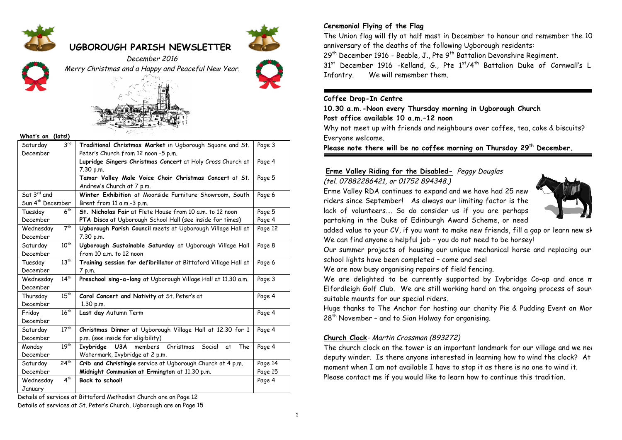

# **UGBOROUGH PARISH NEWSLETTER**





December 2016 Merry Christmas and a Happy and Peaceful New Year.





#### **What's on (lots!)**

| Saturday                     | 3 <sup>rd</sup>  | Traditional Christmas Market in Ugborough Square and St.        | Page 3  |  |  |  |
|------------------------------|------------------|-----------------------------------------------------------------|---------|--|--|--|
| December                     |                  | Peter's Church from 12 noon -5 p.m.                             |         |  |  |  |
|                              |                  | Lupridge Singers Christmas Concert at Holy Cross Church at      | Page 4  |  |  |  |
|                              |                  | 7.30 p.m.                                                       |         |  |  |  |
|                              |                  | Tamar Valley Male Voice Choir Christmas Concert at St.          | Page 5  |  |  |  |
|                              |                  | Andrew's Church at 7 p.m.                                       |         |  |  |  |
| Sat $3^{rd}$ and             |                  | Winter Exhibition at Moorside Furniture Showroom, South         | Page 6  |  |  |  |
| Sun 4 <sup>th</sup> December |                  | Brent from 11 a.m.-3 p.m.                                       |         |  |  |  |
| Tuesday                      | 6 <sup>th</sup>  | St. Nicholas Fair at Flete House from 10 a.m. to 12 noon        | Page 5  |  |  |  |
| December                     |                  | PTA Disco at Ugborough School Hall (see inside for times)       | Page 4  |  |  |  |
| Wednesday                    | 7 <sup>th</sup>  | Ugborough Parish Council meets at Ugborough Village Hall at     | Page 12 |  |  |  |
| December                     |                  | 7.30 p.m.                                                       |         |  |  |  |
| Saturday                     | $10^{th}$        | Ugborough Sustainable Saturday at Ugborough Village Hall        | Page 8  |  |  |  |
| December                     |                  | from 10 a.m. to 12 noon                                         |         |  |  |  |
| Tuesday                      | $13^{th}$        | Training session for defibrillator at Bittaford Village Hall at | Page 6  |  |  |  |
| December                     |                  | 7 p.m.                                                          |         |  |  |  |
| Wednesday                    | $14^{th}$        | Preschool sing-a-long at Ugborough Village Hall at 11.30 a.m.   | Page 3  |  |  |  |
| December                     |                  |                                                                 |         |  |  |  |
| Thursday                     | $15^{th}$        | Carol Concert and Nativity at St. Peter's at                    | Page 4  |  |  |  |
| December                     |                  | 1.30 p.m.                                                       |         |  |  |  |
| Friday                       | 16 <sup>th</sup> | Last day Autumn Term                                            | Page 4  |  |  |  |
| December                     |                  |                                                                 |         |  |  |  |
| Saturday                     | 17 <sup>th</sup> | Christmas Dinner at Ugborough Village Hall at 12.30 for 1       | Page 4  |  |  |  |
| December                     |                  | p.m. (see inside for eligibility)                               |         |  |  |  |
| Monday                       | 19 <sup>th</sup> | U3A members Christmas Social<br>Ivybridge<br>The<br>at          | Page 4  |  |  |  |
| December                     |                  | Watermark, Ivybridge at 2 p.m.                                  |         |  |  |  |
| Saturday                     | $24^{th}$        | Crib and Christingle service at Ugborough Church at 4 p.m.      | Page 14 |  |  |  |
| December                     |                  | Midnight Communion at Ermington at 11.30 p.m.                   | Page 15 |  |  |  |
| Wednesday                    | 4 <sup>th</sup>  | <b>Back to school!</b>                                          | Page 4  |  |  |  |
| January                      |                  |                                                                 |         |  |  |  |
|                              |                  |                                                                 |         |  |  |  |

Details of services at Bittaford Methodist Church are on Page 12 Details of services at St. Peter's Church, Ugborough are on Page 15

# **Ceremonial Flying of the Flag**

The Union flag will fly at half mast in December to honour and remember the 10 anniversary of the deaths of the following Ugborough residents:

 $29<sup>th</sup>$  December 1916 - Beable, J., Pte  $9<sup>th</sup>$  Battalion Devonshire Regiment.

 $31<sup>st</sup>$  December 1916 -Kelland, G., Pte  $1<sup>st</sup>/4<sup>th</sup>$  Battalion Duke of Cornwall's Li Infantry. We will remember them.

#### **Coffee Drop-In Centre**

**10.30 a.m.-Noon every Thursday morning in Ugborough Church**

**Post office available 10 a.m.–12 noon**

Why not meet up with friends and neighbours over coffee, tea, cake & biscuits? Everyone welcome.

**Please note there will be no coffee morning on Thursday 29th December.**

# **Erme Valley Riding for the Disabled-** Peggy Douglas

(tel. 07882286421, or 01752 894348.)

Erme Valley RDA continues to expand and we have had 25 new riders since September! As always our limiting factor is the lack of volunteers…. So do consider us if you are perhaps partaking in the Duke of Edinburgh Award Scheme, or need



added value to your CV, if you want to make new friends, fill a gap or learn new sk We can find anyone a helpful job – you do not need to be horsey!

Our summer projects of housing our unique mechanical horse and replacing our school lights have been completed – come and see!

We are now busy organising repairs of field fencing.

We are delighted to be currently supported by Ivybridge Co-op and once m Elfordleigh Golf Club. We are still working hard on the ongoing process of sour suitable mounts for our special riders.

Huge thanks to The Anchor for hosting our charity Pie & Pudding Event on Mon  $28<sup>th</sup>$  November - and to Sian Holway for organising.

#### **Church Clock**- Martin Crossman (893272)

The church clock on the tower is an important landmark for our village and we need deputy winder. Is there anyone interested in learning how to wind the clock? At moment when I am not available I have to stop it as there is no one to wind it. Please contact me if you would like to learn how to continue this tradition.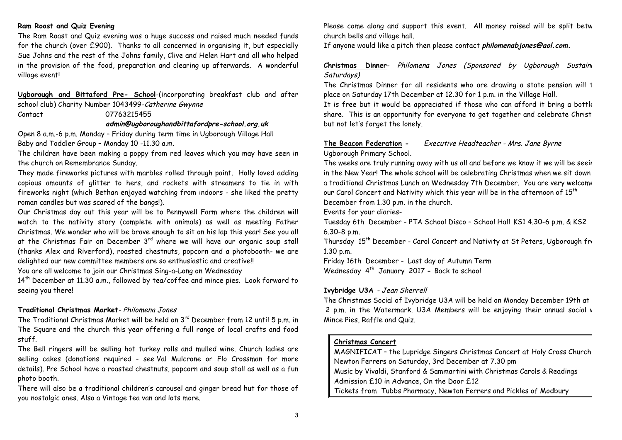#### **Ram Roast and Quiz Evening**

The Ram Roast and Quiz evening was a huge success and raised much needed funds for the church (over £900). Thanks to all concerned in organising it, but especially Sue Johns and the rest of the Johns family, Clive and Helen Hart and all who helped in the provision of the food, preparation and clearing up afterwards. A wonderful village event!

**Ugborough and Bittaford Pre- School**-(incorporating breakfast club and after school club) Charity Number 1043499-Catherine Gwynne

Contact 07763215455

#### **admin@ugboroughandbittafordpre-school.org.uk**

Open 8 a.m.-6 p.m. Monday – Friday during term time in Ugborough Village Hall Baby and Toddler Group – Monday 10 -11.30 a.m.

The children have been making a poppy from red leaves which you may have seen in the church on Remembrance Sunday.

They made fireworks pictures with marbles rolled through paint. Holly loved adding copious amounts of glitter to hers, and rockets with streamers to tie in with fireworks night (which Bethan enjoyed watching from indoors - she liked the pretty roman candles but was scared of the bangs!).

Our Christmas day out this year will be to Pennywell Farm where the children will watch to the nativity story (complete with animals) as well as meeting Father Christmas. We wonder who will be brave enough to sit on his lap this year! See you all at the Christmas Fair on December  $3<sup>rd</sup>$  where we will have our organic soup stall (thanks Alex and Riverford), roasted chestnuts, popcorn and a photobooth- we are delighted our new committee members are so enthusiastic and creative!!

You are all welcome to join our Christmas Sing-a-Long on Wednesday

14th December at 11.30 a.m., followed by tea/coffee and mince pies. Look forward to seeing you there!

#### **Traditional Christmas Market**- Philomena Jones

The Traditional Christmas Market will be held on 3<sup>rd</sup> December from 12 until 5 p.m. in The Square and the church this year offering a full range of local crafts and food stuff.

The Bell ringers will be selling hot turkey rolls and mulled wine. Church ladies are selling cakes (donations required - see Val Mulcrone or Flo Crossman for more details). Pre School have a roasted chestnuts, popcorn and soup stall as well as a fun photo booth.

There will also be a traditional children's carousel and ginger bread hut for those of you nostalgic ones. Also a Vintage tea van and lots more.

Please come along and support this event. All money raised will be split betw church bells and village hall.

If anyone would like a pitch then please contact **philomenabjones@aol.com.**

# **Christmas Dinner-** Philomena Jones (Sponsored by Ugborough Sustain Saturdays)

The Christmas Dinner for all residents who are drawing a state pension will t place on Saturday 17th December at 12.30 for 1 p.m. in the Village Hall.

It is free but it would be appreciated if those who can afford it bring a bottle share. This is an opportunity for everyone to get together and celebrate Christ but not let's forget the lonely.

#### **The Beacon Federation -** Executive Headteacher - Mrs. Jane Byrne Ugborough Primary School.

The weeks are truly running away with us all and before we know it we will be seeing in the New Year! The whole school will be celebrating Christmas when we sit down a traditional Christmas Lunch on Wednesday 7th December. You are very welcome to our Carol Concert and Nativity which this year will be in the afternoon of  $15^{th}$ December from 1.30 p.m. in the church.

Events for your diaries-

Tuesday 6th December - PTA School Disco – School Hall KS1 4.30-6 p.m. & KS2 6.30-8 p.m.

Thursday 15<sup>th</sup> December - Carol Concert and Nativity at St Peters, Ugborough from 1.30 p.m.

Friday 16th December - Last day of Autumn Term Wednesday 4th January 2017 **-** Back to school

#### **Ivybridge U3A** - Jean Sherrell

The Christmas Social of Ivybridge U3A will be held on Monday December 19th at 2 p.m. in the Watermark. U3A Members will be enjoying their annual social v Mince Pies, Raffle and Quiz.

#### **Christmas Concert**

MAGNIFICAT – the Lupridge Singers Christmas Concert at Holy Cross Church, Newton Ferrers on Saturday, 3rd December at 7.30 pm Music by Vivaldi, Stanford & Sammartini with Christmas Carols & Readings Admission £10 in Advance, On the Door £12 Tickets from Tubbs Pharmacy, Newton Ferrers and Pickles of Modbury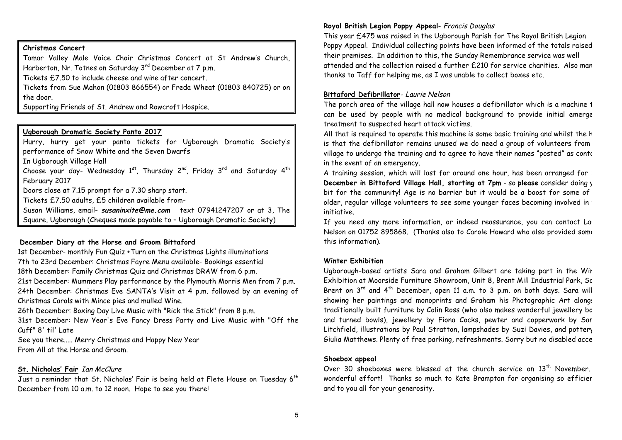## **Christmas Concert**

Tamar Valley Male Voice Choir Christmas Concert at St Andrew's Church, Harberton, Nr. Totnes on Saturday 3<sup>rd</sup> December at 7 p.m.

Tickets £7.50 to include cheese and wine after concert.

Tickets from Sue Mahon (01803 866554) or Freda Wheat (01803 840725) or on the door.

Supporting Friends of St. Andrew and Rowcroft Hospice.

#### **Ugborough Dramatic Society Panto 2017**

Hurry, hurry get your panto tickets for Ugborough Dramatic Society's performance of Snow White and the Seven Dwarfs

In Ugborough Village Hall

Choose your day- Wednesday  $1^{st}$ , Thursday  $2^{nd}$ , Friday  $3^{rd}$  and Saturday  $4^{th}$ February 2017

Doors close at 7.15 prompt for a 7.30 sharp start.

Tickets £7.50 adults, £5 children available from-

Susan Williams, email- **susaninxite@me.com** text 07941247207 or at 3, The Square, Ugborough (Cheques made payable to – Ugborough Dramatic Society)

#### **December Diary at the Horse and Groom Bittaford**

1st December- monthly Fun Quiz +Turn on the Christmas Lights illuminations 7th to 23rd December: Christmas Fayre Menu available- Bookings essential 18th December: Family Christmas Quiz and Christmas DRAW from 6 p.m. 21st December: Mummers Play performance by the Plymouth Morris Men from 7 p.m. 24th December: Christmas Eve SANTA's Visit at 4 p.m. followed by an evening of Christmas Carols with Mince pies and mulled Wine.

26th December: Boxing Day Live Music with "Rick the Stick" from 8 p.m.

31st December: New Year's Eve Fancy Dress Party and Live Music with "Off the Cuff" 8' til' Late

See you there..... Merry Christmas and Happy New Year From All at the Horse and Groom.

#### **St. Nicholas' Fair** Ian McClure

Just a reminder that St. Nicholas' Fair is being held at Flete House on Tuesday 6<sup>th</sup> December from 10 a.m. to 12 noon. Hope to see you there!

# **Royal British Legion Poppy Appeal**- Francis Douglas

This year £475 was raised in the Ugborough Parish for The Royal British Legion Poppy Appeal. Individual collecting points have been informed of the totals raised their premises. In addition to this, the Sunday Remembrance service was well attended and the collection raised a further £210 for service charities. Also many thanks to Taff for helping me, as I was unable to collect boxes etc.

#### **Bittaford Defibrillator**- Laurie Nelson

The porch area of the village hall now houses a defibrillator which is a machine 1 can be used by people with no medical background to provide initial emerge treatment to suspected heart attack victims.

All that is required to operate this machine is some basic training and whilst the h is that the defibrillator remains unused we do need a group of volunteers from village to undergo the training and to agree to have their names "posted" as conto in the event of an emergency.

A training session, which will last for around one hour, has been arranged for **13th December in Bittaford Village Hall, starting at 7pm - so please** consider doing y bit for the community! Age is no barrier but it would be a boost for some of older, regular village volunteers to see some younger faces becoming involved in initiative.

If you need any more information, or indeed reassurance, you can contact La Nelson on 01752 895868. (Thanks also to Carole Howard who also provided some this information).

#### **Winter Exhibition**

Ugborough-based artists Sara and Graham Gilbert are taking part in the Wir Exhibition at Moorside Furniture Showroom, Unit 8, Brent Mill Industrial Park, Sc Brent on  $3^{rd}$  and  $4^{th}$  December, open 11 a.m. to 3 p.m. on both days. Sara will showing her paintings and monoprints and Graham his Photographic Art alongs traditionally built furniture by Colin Ross (who also makes wonderful jewellery bo and turned bowls), jewellery by Fiona Cocks, pewter and copperwork by Sar Litchfield, illustrations by Paul Stratton, lampshades by Suzi Davies, and pottery Giulia Matthews. Plenty of free parking, refreshments. Sorry but no disabled access.

#### **Shoebox appeal**

Over 30 shoeboxes were blessed at the church service on  $13<sup>th</sup>$  November. wonderful effort! Thanks so much to Kate Brampton for organising so efficier and to you all for your generosity.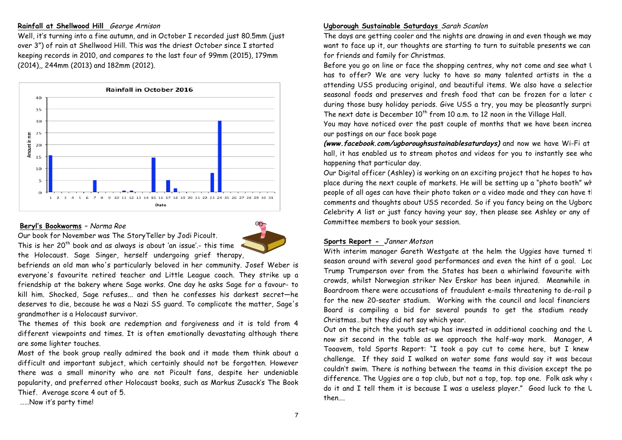#### **Rainfall at Shellwood Hill** George Arnison

Well, it's turning into a fine autumn, and in October I recorded just 80.5mm (just over 3") of rain at Shellwood Hill. This was the driest October since I started keeping records in 2010, and compares to the last four of 99mm (2015), 179mm (2014),, 244mm (2013) and 182mm (2012).



### **Beryl's Bookworms** – Norma Roe



Our book for November was The StoryTeller by Jodi Picoult. This is her  $20<sup>th</sup>$  book and as always is about 'an issue'.- this time

the Holocaust. Sage Singer, herself undergoing grief therapy,

befriends an old man who's particularly beloved in her community. Josef Weber is everyone's favourite retired teacher and Little League coach. They strike up a friendship at the bakery where Sage works. One day he asks Sage for a favour- to kill him. Shocked, Sage refuses... and then he confesses his darkest secret—he deserves to die, because he was a Nazi SS guard. To complicate the matter, Sage's grandmother is a Holocaust survivor.

The themes of this book are redemption and forgiveness and it is told from 4 different viewpoints and times. It is often emotionally devastating although there are some lighter touches.

Most of the book group really admired the book and it made them think about a difficult and important subject, which certainly should not be forgotten. However there was a small minority who are not Picoult fans, despite her undeniable popularity, and preferred other Holocaust books, such as Markus Zusack's The Book Thief. Average score 4 out of 5.

……Now it's party time!

#### **Ugborough Sustainable Saturdays** Sarah Scanlon

The days are getting cooler and the nights are drawing in and even though we may want to face up it, our thoughts are starting to turn to suitable presents we can for friends and family for Christmas.

Before you go on line or face the shopping centres, why not come and see what  $U$ has to offer? We are very lucky to have so many talented artists in the a attending USS producing original, and beautiful items. We also have a selection seasonal foods and preserves and fresh food that can be frozen for a later c during those busy holiday periods. Give USS a try, you may be pleasantly surpri: The next date is December  $10<sup>th</sup>$  from 10 a.m. to 12 noon in the Village Hall.

You may have noticed over the past couple of months that we have been increa our postings on our face book page

(www.facebook.com/ugboroughsustainablesaturdays) and now we have Wi-Fi at hall, it has enabled us to stream photos and videos for you to instantly see who happening that particular day.

Our Digital officer (Ashley) is working on an exciting project that he hopes to have place during the next couple of markets. He will be setting up a "photo booth" wh people of all ages can have their photo taken or a video made and they can have t comments and thoughts about USS recorded. So if you fancy being on the Ugborough Celebrity A list or just fancy having your say, then please see Ashley or any of Committee members to book your session.

#### **Sports Report -** Janner Motson

With interim manager Gareth Westgate at the helm the Uggies have turned t season around with several good performances and even the hint of a goal. Loc Trump Trumperson over from the States has been a whirlwind favourite with crowds, whilst Norwegian striker Nev Erskor has been injured. Meanwhile in Boardroom there were accusations of fraudulent e-mails threatening to de-rail p for the new 20-seater stadium. Working with the council and local financiers Board is compiling a bid for several pounds to get the stadium ready Christmas…but they did not say which year.

Out on the pitch the youth set-up has invested in additional coaching and the  $U$ now sit second in the table as we approach the half-way mark. Manager, A Tooavem, told Sports Report: "I took a pay cut to come here, but I knew challenge. If they said I walked on water some fans would say it was becaus couldn't swim. There is nothing between the teams in this division except the po difference. The Uggies are a top club, but not a top, top. top one. Folk ask why a do it and I tell them it is because I was a useless player." Good luck to the U then….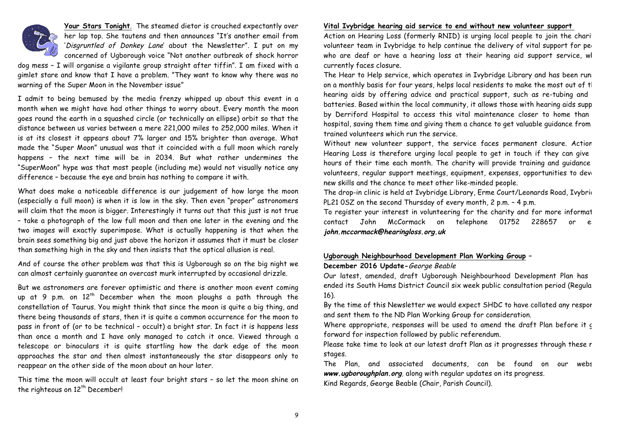

**Your Stars Tonight**. The steamed dietor is crouched expectantly over her lap top. She tautens and then announces "It's another email from 'Disgruntled of Donkey Lane' about the Newsletter". I put on my concerned of Ugborough voice "Not another outbreak of shock horror

dog mess – I will organise a vigilante group straight after tiffin". I am fixed with a gimlet stare and know that I have a problem. "They want to know why there was no warning of the Super Moon in the November issue"

I admit to being bemused by the media frenzy whipped up about this event in a month when we might have had other things to worry about. Every month the moon goes round the earth in a squashed circle (or technically an ellipse) orbit so that the distance between us varies between a mere 221,000 miles to 252,000 miles. When it is at its closest it appears about 7% larger and 15% brighter than average. What made the "Super Moon" unusual was that it coincided with a full moon which rarely happens – the next time will be in 2034. But what rather undermines the "SuperMoon" hype was that most people (including me) would not visually notice any difference – because the eye and brain has nothing to compare it with.

What does make a noticeable difference is our judgement of how large the moon (especially a full moon) is when it is low in the sky. Then even "proper" astronomers will claim that the moon is bigger. Interestingly it turns out that this just is not true – take a photograph of the low full moon and then one later in the evening and the two images will exactly superimpose. What is actually happening is that when the brain sees something big and just above the horizon it assumes that it must be closer than something high in the sky and then insists that the optical allusion is real.

And of course the other problem was that this is Ugborough so on the big night we can almost certainly guarantee an overcast murk interrupted by occasional drizzle.

But we astronomers are forever optimistic and there is another moon event coming up at 9 p.m. on  $12<sup>th</sup>$  December when the moon ploughs a path through the constellation of Taurus. You might think that since the moon is quite a big thing, and there being thousands of stars, then it is quite a common occurrence for the moon to pass in front of (or to be technical – occult) a bright star. In fact it is happens less than once a month and I have only managed to catch it once. Viewed through a telescope or binoculars it is quite startling how the dark edge of the moon approaches the star and then almost instantaneously the star disappears only to reappear on the other side of the moon about an hour later.

This time the moon will occult at least four bright stars – so let the moon shine on the righteous on 12<sup>th</sup> December!

#### **Vital Ivybridge hearing aid service to end without new volunteer support**

Action on Hearing Loss (formerly RNID) is urging local people to join the charity volunteer team in Ivybridge to help continue the delivery of vital support for people who are deaf or have a hearing loss at their hearing aid support service, wl currently faces closure.

The Hear to Help service, which operates in Ivybridge Library and has been runing on a monthly basis for four years, helps local residents to make the most out of tl hearing aids by offering advice and practical support, such as re-tubing and batteries. Based within the local community, it allows those with hearing aids supp by Derriford Hospital to access this vital maintenance closer to home than hospital, saving them time and giving them a chance to get valuable guidance from trained volunteers which run the service.

Without new volunteer support, the service faces permanent closure. Action Hearing Loss is therefore urging local people to get in touch if they can give hours of their time each month. The charity will provide training and guidance volunteers, regular support meetings, equipment, expenses, opportunities to deve new skills and the chance to meet other like-minded people.

The drop-in clinic is held at Ivybridge Library, Erme Court/Leonards Road, Ivybrid PL21 0SZ on the second Thursday of every month, 2 p.m. – 4 p.m.

To register your interest in volunteering for the charity and for more informat contact John McCormack on telephone 01752 228657 or **john.mccormack@hearingloss.org.uk**

#### **Ugborough Neighbourhood Development Plan Working Group – December 2016 Update-**George Beable

Our latest, amended, draft Ugborough Neighbourhood Development Plan has ended its South Hams District Council six week public consultation period (Regula 16).

By the time of this Newsletter we would expect SHDC to have collated any respor and sent them to the ND Plan Working Group for consideration.

Where appropriate, responses will be used to amend the draft Plan before it c forward for inspection followed by public referendum.

Please take time to look at our latest draft Plan as it progresses through these r stages.

The Plan, and associated documents, can be found on our website **www.ugboroughplan.org**, along with regular updates on its progress. Kind Regards, George Beable (Chair, Parish Council).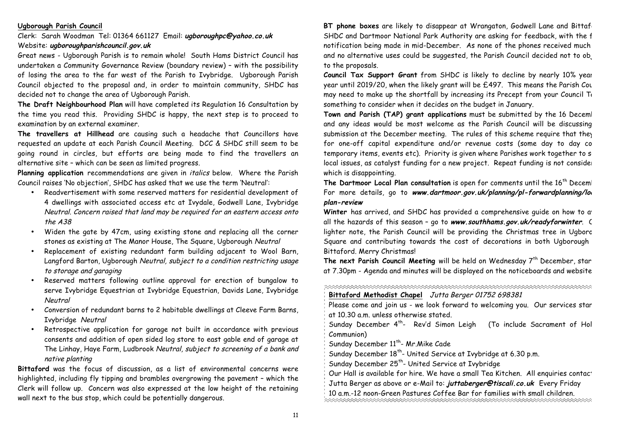#### **Ugborough Parish Council**

Clerk: Sarah Woodman Tel: 01364 661127 Email: **ugboroughpc@yahoo.co.uk** Website: **ugboroughparishcouncil.gov.uk**

Great news - Ugborough Parish is to remain whole! South Hams District Council has undertaken a Community Governance Review (boundary review) – with the possibility of losing the area to the far west of the Parish to Ivybridge. Ugborough Parish Council objected to the proposal and, in order to maintain community, SHDC has decided not to change the area of Ugborough Parish.

**The Draft Neighbourhood Plan** will have completed its Regulation 16 Consultation by the time you read this. Providing SHDC is happy, the next step is to proceed to examination by an external examiner.

**The travellers at Hillhead** are causing such a headache that Councillors have requested an update at each Parish Council Meeting. DCC & SHDC still seem to be going round in circles, but efforts are being made to find the travellers an alternative site – which can be seen as limited progress.

**Planning application** recommendations are given in italics below. Where the Parish Council raises 'No objection', SHDC has asked that we use the term 'Neutral':

- Readvertisement with some reserved matters for residential development of 4 dwellings with associated access etc at Ivydale, Godwell Lane, Ivybridge Neutral. Concern raised that land may be required for an eastern access onto the A38
- Widen the gate by 47cm, using existing stone and replacing all the corner stones as existing at The Manor House, The Square, Ugborough Neutral
- Replacement of existing redundant farm building adjacent to Wool Barn, Langford Barton, Ugborough Neutral, subject to a condition restricting usage to storage and garaging
- Reserved matters following outline approval for erection of bungalow to serve Ivybridge Equestrian at Ivybridge Equestrian, Davids Lane, Ivybridge Neutral
- Conversion of redundant barns to 2 habitable dwellings at Cleeve Farm Barns, Ivybridge Neutral
- Retrospective application for garage not built in accordance with previous consents and addition of open sided log store to east gable end of garage at The Linhay, Haye Farm, Ludbrook Neutral, subject to screening of a bank and native planting

**Bittaford** was the focus of discussion, as a list of environmental concerns were highlighted, including fly tipping and brambles overgrowing the pavement – which the Clerk will follow up. Concern was also expressed at the low height of the retaining wall next to the bus stop, which could be potentially dangerous.

**BT phone boxes** are likely to disappear at Wrangaton, Godwell Lane and Bittaf SHDC and Dartmoor National Park Authority are asking for feedback, with the f notification being made in mid-December. As none of the phones received much and no alternative uses could be suggested, the Parish Council decided not to ob to the proposals.

Council Tax Support Grant from SHDC is likely to decline by nearly 10% year year until 2019/20, when the likely grant will be £497. This means the Parish Cou may need to make up the shortfall by increasing its Precept from your Council  $T_0$ something to consider when it decides on the budget in January.

Town and Parish (TAP) grant applications must be submitted by the 16 December, and any ideas would be most welcome as the Parish Council will be discussing submission at the December meeting. The rules of this scheme require that they for one-off capital expenditure and/or revenue costs (some day to day co temporary items, events etc). Priority is given where Parishes work together to solve local issues, as catalyst funding for a new project. Repeat funding is not consider which is disappointing.

The Dartmoor Local Plan consultation is open for comments until the 16<sup>th</sup> Deceml For more details, go to www.dartmoor.gov.uk/planning/pl-forwardplanning/loc **plan-review**

Winter has arrived, and SHDC has provided a comprehensive quide on how to a<sup>t</sup> all the hazards of this season - go to www.southhams.gov.uk/readyforwinter. C lighter note, the Parish Council will be providing the Christmas tree in Ugboro Square and contributing towards the cost of decorations in both Ugborough Bittaford. Merry Christmas!

**The next Parish Council Meeting** will be held on Wednesday 7<sup>th</sup> December, star at 7.30pm - Agenda and minutes will be displayed on the noticeboards and website.

**Bittaford Methodist Chapel** Jutta Berger 01752 698381

Please come and join us - we look forward to welcoming you. Our services star at 10.30 a.m. unless otherwise stated.

Sunday December  $4<sup>th</sup>$ - Rev'd Simon Leigh (To include Sacrament of Hol Communion)

Sunday December 11<sup>th</sup>- Mr. Mike Cade

Sunday December 18<sup>th</sup>- United Service at Ivybridge at 6.30 p.m.

Sunday December 25<sup>th</sup>- United Service at Ivybridge

Our Hall is available for hire. We have a small Tea Kitchen. All enquiries contact:

Jutta Berger as above or e-Mail to: **juttaberger@tiscali.co.uk** Every Friday

10 a.m.-12 noon-Green Pastures Coffee Bar for families with small children.

11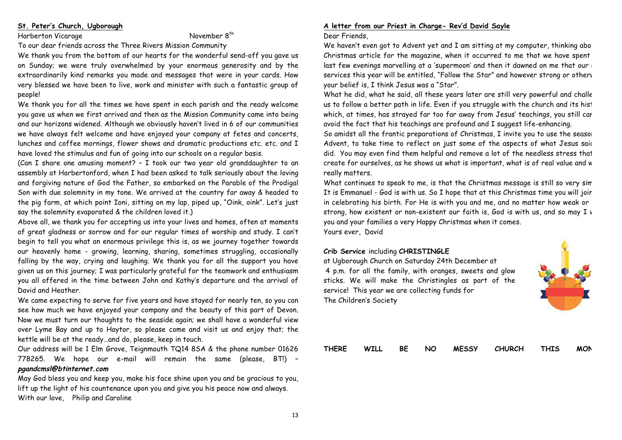## **St. Peter's Church, Ugborough**

Harberton Vicarage November 8<sup>th</sup>

To our dear friends across the Three Rivers Mission Community

We thank you from the bottom of our hearts for the wonderful send-off you gave us on Sunday; we were truly overwhelmed by your enormous generosity and by the extraordinarily kind remarks you made and messages that were in your cards. How very blessed we have been to live, work and minister with such a fantastic group of people!

We thank you for all the times we have spent in each parish and the ready welcome you gave us when we first arrived and then as the Mission Community came into being and our horizons widened. Although we obviously haven't lived in 6 of our communities we have always felt welcome and have enjoyed your company at fetes and concerts, lunches and coffee mornings, flower shows and dramatic productions etc. etc. and I have loved the stimulus and fun of going into our schools on a regular basis.

(Can I share one amusing moment? – I took our two year old granddaughter to an assembly at Harbertonford, when I had been asked to talk seriously about the loving and forgiving nature of God the Father, so embarked on the Parable of the Prodigal Son with due solemnity in my tone. We arrived at the country far away & headed to the pig farm, at which point Ioni, sitting on my lap, piped up, "Oink, oink". Let's just say the solemnity evaporated & the children loved it.)

Above all, we thank you for accepting us into your lives and homes, often at moments of great gladness or sorrow and for our regular times of worship and study. I can't begin to tell you what an enormous privilege this is, as we journey together towards our heavenly home - growing, learning, sharing, sometimes struggling, occasionally falling by the way, crying and laughing. We thank you for all the support you have given us on this journey; I was particularly grateful for the teamwork and enthusiasm you all offered in the time between John and Kathy's departure and the arrival of David and Heather.

We came expecting to serve for five years and have stayed for nearly ten, so you can see how much we have enjoyed your company and the beauty of this part of Devon. Now we must turn our thoughts to the seaside again; we shall have a wonderful view over Lyme Bay and up to Haytor, so please come and visit us and enjoy that; the kettle will be at the ready…and do, please, keep in touch.

Our address will be 1 Elm Grove, Teignmouth TQ14 8SA & the phone number 01626 778265. We hope our e-mail will remain the same (please, BT!) – **pgandcmsl@btinternet.com**

May God bless you and keep you, make his face shine upon you and be gracious to you, lift up the light of his countenance upon you and give you his peace now and always. With our love, Philip and Caroline

# **A letter from our Priest in Charge- Rev'd David Sayle**

#### Dear Friends,

We haven't even got to Advent yet and I am sitting at my computer, thinking about Christmas article for the magazine, when it occurred to me that we have spent last few evenings marvelling at a 'supermoon' and then it dawned on me that our services this year will be entitled, "Follow the Star" and however strong or otherv your belief is, I think Jesus was a "Star".

What he did, what he said, all these years later are still very powerful and challe us to follow a better path in life. Even if you struggle with the church and its hist which, at times, has strayed far too far away from Jesus' teachings, you still car avoid the fact that his teachings are profound and I suggest life-enhancing.

So amidst all the frantic preparations of Christmas, I invite you to use the season Advent, to take time to reflect on just some of the aspects of what Jesus said did. You may even find them helpful and remove a lot of the needless stress that create for ourselves, as he shows us what is important, what is of real value and w really matters.

What continues to speak to me, is that the Christmas message is still so very sim It is Emmanuel - God is with us. So I hope that at this Christmas time you will join me in celebrating his birth. For He is with you and me, and no matter how weak or strong, how existent or non-existent our faith is, God is with us, and so may I v you and your families a very Happy Christmas when it comes. Yours ever, David

# **Crib Service** including **CHRISTINGLE**

at Ugborough Church on Saturday 24th December at 4 p.m. for all the family, with oranges, sweets and glow sticks. We will make the Christingles as part of the service! This year we are collecting funds for The Children's Society



|  |  | THERE WILL BE NO MESSY CHURCH THIS MON |  |  |
|--|--|----------------------------------------|--|--|
|  |  |                                        |  |  |